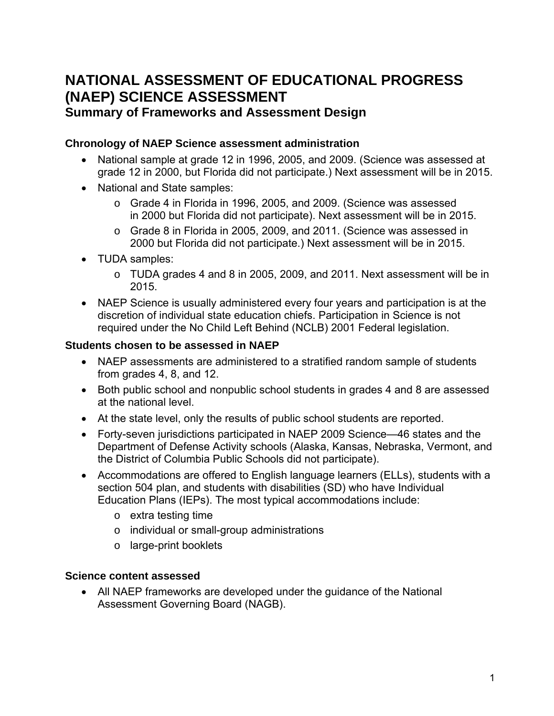# **NATIONAL ASSESSMENT OF EDUCATIONAL PROGRESS (NAEP) SCIENCE ASSESSMENT**

## **Summary of Frameworks and Assessment Design**

### **Chronology of NAEP Science assessment administration**

- National sample at grade 12 in 1996, 2005, and 2009. (Science was assessed at grade 12 in 2000, but Florida did not participate.) Next assessment will be in 2015.
- National and State samples:
	- o Grade 4 in Florida in 1996, 2005, and 2009. (Science was assessed in 2000 but Florida did not participate). Next assessment will be in 2015.
	- o Grade 8 in Florida in 2005, 2009, and 2011. (Science was assessed in 2000 but Florida did not participate.) Next assessment will be in 2015.
- TUDA samples:
	- o TUDA grades 4 and 8 in 2005, 2009, and 2011. Next assessment will be in 2015.
- NAEP Science is usually administered every four years and participation is at the discretion of individual state education chiefs. Participation in Science is not required under the No Child Left Behind (NCLB) 2001 Federal legislation.

### **Students chosen to be assessed in NAEP**

- NAEP assessments are administered to a stratified random sample of students from grades 4, 8, and 12.
- Both public school and nonpublic school students in grades 4 and 8 are assessed at the national level.
- At the state level, only the results of public school students are reported.
- Forty-seven jurisdictions participated in NAEP 2009 Science—46 states and the Department of Defense Activity schools (Alaska, Kansas, Nebraska, Vermont, and the District of Columbia Public Schools did not participate).
- Accommodations are offered to English language learners (ELLs), students with a section 504 plan, and students with disabilities (SD) who have Individual Education Plans (IEPs). The most typical accommodations include:
	- o extra testing time
	- o individual or small-group administrations
	- o large-print booklets

### **Science content assessed**

• All NAEP frameworks are developed under the guidance of the National Assessment Governing Board (NAGB).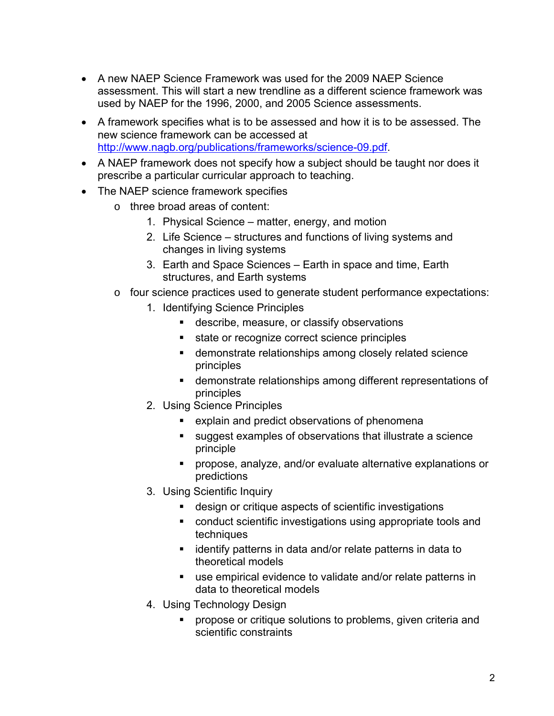- A new NAEP Science Framework was used for the 2009 NAEP Science assessment. This will start a new trendline as a different science framework was used by NAEP for the 1996, 2000, and 2005 Science assessments.
- A framework specifies what is to be assessed and how it is to be assessed. The new science framework can be accessed at [http://www.nagb.org/publications/frameworks/science-09.pdf.](http://www.nagb.org/publications/frameworks/science-09.pdf)
- A NAEP framework does not specify how a subject should be taught nor does it prescribe a particular curricular approach to teaching.
- The NAEP science framework specifies
	- o three broad areas of content:
		- 1. Physical Science matter, energy, and motion
		- 2. Life Science structures and functions of living systems and changes in living systems
		- 3. Earth and Space Sciences Earth in space and time, Earth structures, and Earth systems
	- o four science practices used to generate student performance expectations:
		- 1. Identifying Science Principles
			- **describe, measure, or classify observations**
			- state or recognize correct science principles
			- demonstrate relationships among closely related science principles
			- demonstrate relationships among different representations of principles
		- 2. Using Science Principles
			- explain and predict observations of phenomena
			- suggest examples of observations that illustrate a science principle
			- propose, analyze, and/or evaluate alternative explanations or predictions
		- 3. Using Scientific Inquiry
			- design or critique aspects of scientific investigations
			- conduct scientific investigations using appropriate tools and techniques
			- **EXT** identify patterns in data and/or relate patterns in data to theoretical models
			- use empirical evidence to validate and/or relate patterns in data to theoretical models
		- 4. Using Technology Design
			- propose or critique solutions to problems, given criteria and scientific constraints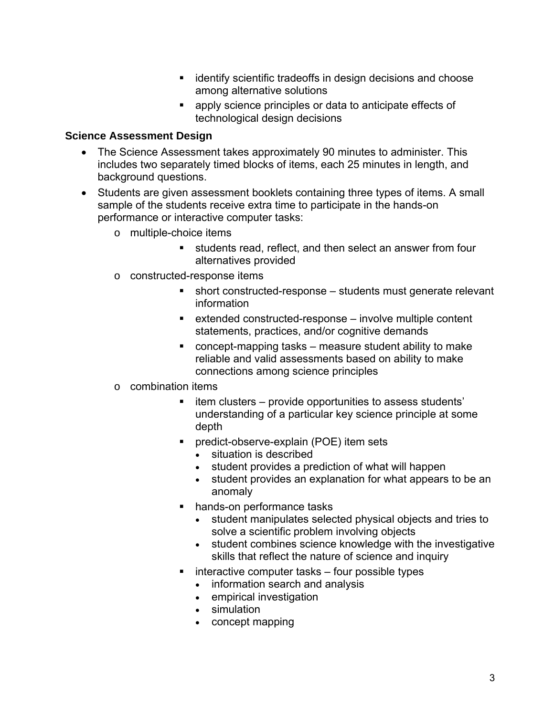- **identify scientific tradeoffs in design decisions and choose** among alternative solutions
- apply science principles or data to anticipate effects of technological design decisions

### **Science Assessment Design**

- The Science Assessment takes approximately 90 minutes to administer. This includes two separately timed blocks of items, each 25 minutes in length, and background questions.
- Students are given assessment booklets containing three types of items. A small sample of the students receive extra time to participate in the hands-on performance or interactive computer tasks:
	- o multiple-choice items
		- students read, reflect, and then select an answer from four alternatives provided
	- o constructed-response items
		- short constructed-response students must generate relevant information
		- extended constructed-response involve multiple content statements, practices, and/or cognitive demands
		- concept-mapping tasks measure student ability to make reliable and valid assessments based on ability to make connections among science principles
	- o combination items
		- item clusters provide opportunities to assess students' understanding of a particular key science principle at some depth
		- predict-observe-explain (POE) item sets
			- situation is described
			- student provides a prediction of what will happen
			- student provides an explanation for what appears to be an anomaly
		- hands-on performance tasks
			- student manipulates selected physical objects and tries to solve a scientific problem involving objects
			- student combines science knowledge with the investigative skills that reflect the nature of science and inquiry
		- $\blacksquare$  interactive computer tasks four possible types
			- information search and analysis
			- empirical investigation
			- simulation
			- concept mapping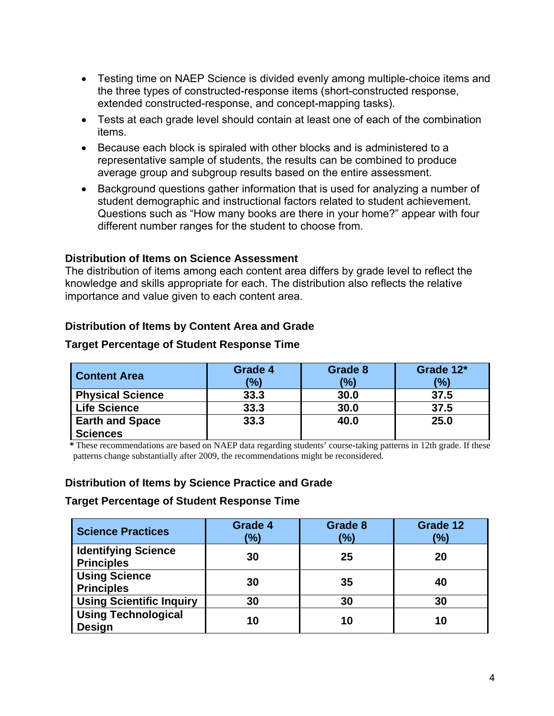- Testing time on NAEP Science is divided evenly among multiple-choice items and the three types of constructed-response items (short-constructed response, extended constructed-response, and concept-mapping tasks).
- Tests at each grade level should contain at least one of each of the combination items.
- Because each block is spiraled with other blocks and is administered to a representative sample of students, the results can be combined to produce average group and subgroup results based on the entire assessment.
- Background questions gather information that is used for analyzing a number of student demographic and instructional factors related to student achievement. Questions such as "How many books are there in your home?" appear with four different number ranges for the student to choose from.

### **Distribution of Items on Science Assessment**

The distribution of items among each content area differs by grade level to reflect the knowledge and skills appropriate for each. The distribution also reflects the relative importance and value given to each content area.

### **Distribution of Items by Content Area and Grade**

#### **Content Area Grade 4 (%) Grade 8 (%) Grade 12\* Physical Science 33.3 30.0 37.5 Life Science 33.3 30.0 37.5**

### **Target Percentage of Student Response Time**

These recommendations are based on NAEP data regarding students' course-taking patterns in 12th grade. If these patterns change substantially after 2009, the recommendations might be reconsidered.

**33.3 40.0 25.0**

### **Distribution of Items by Science Practice and Grade**

### **Target Percentage of Student Response Time**

**Earth and Space** 

**Sciences**

| <b>Science Practices</b>                        | <b>Grade 4</b><br>(%) | Grade 8<br>(%) | Grade 12<br>(%) |
|-------------------------------------------------|-----------------------|----------------|-----------------|
| <b>Identifying Science</b><br><b>Principles</b> | 30                    | 25             | 20              |
| <b>Using Science</b><br><b>Principles</b>       | 30                    | 35             | 40              |
| <b>Using Scientific Inquiry</b>                 | 30                    | 30             | 30              |
| <b>Using Technological</b><br><b>Design</b>     | 10                    | 10             | 10              |

**(%)**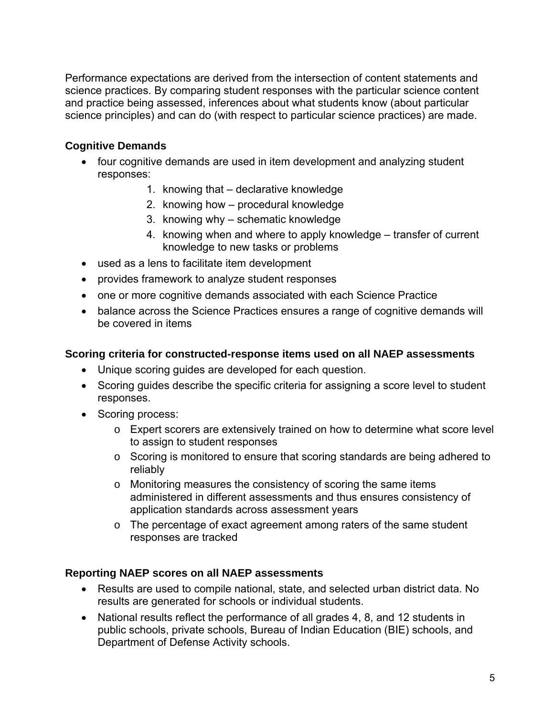Performance expectations are derived from the intersection of content statements and science practices. By comparing student responses with the particular science content and practice being assessed, inferences about what students know (about particular science principles) and can do (with respect to particular science practices) are made.

### **Cognitive Demands**

- four cognitive demands are used in item development and analyzing student responses:
	- 1. knowing that declarative knowledge
	- 2. knowing how procedural knowledge
	- 3. knowing why schematic knowledge
	- 4. knowing when and where to apply knowledge transfer of current knowledge to new tasks or problems
- used as a lens to facilitate item development
- provides framework to analyze student responses
- one or more cognitive demands associated with each Science Practice
- balance across the Science Practices ensures a range of cognitive demands will be covered in items

### **Scoring criteria for constructed-response items used on all NAEP assessments**

- Unique scoring guides are developed for each question.
- Scoring guides describe the specific criteria for assigning a score level to student responses.
- Scoring process:
	- o Expert scorers are extensively trained on how to determine what score level to assign to student responses
	- o Scoring is monitored to ensure that scoring standards are being adhered to reliably
	- o Monitoring measures the consistency of scoring the same items administered in different assessments and thus ensures consistency of application standards across assessment years
	- o The percentage of exact agreement among raters of the same student responses are tracked

### **Reporting NAEP scores on all NAEP assessments**

- Results are used to compile national, state, and selected urban district data. No results are generated for schools or individual students.
- National results reflect the performance of all grades 4, 8, and 12 students in public schools, private schools, Bureau of Indian Education (BIE) schools, and Department of Defense Activity schools.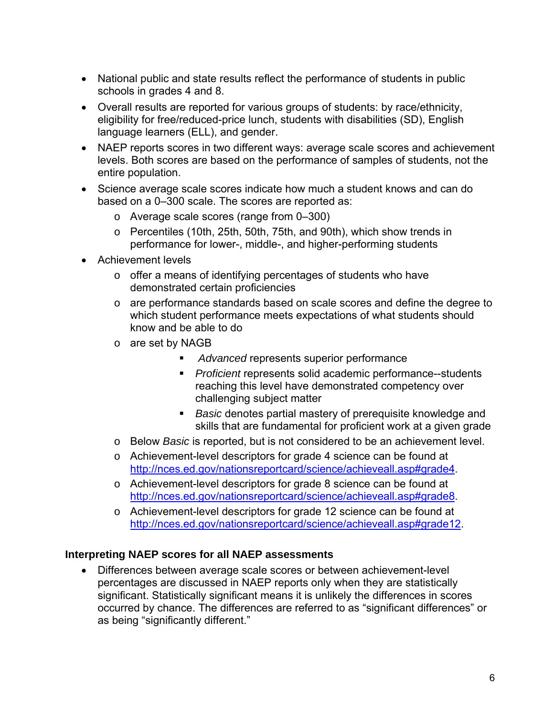- National public and state results reflect the performance of students in public schools in grades 4 and 8.
- Overall results are reported for various groups of students: by race/ethnicity, eligibility for free/reduced-price lunch, students with disabilities (SD), English language learners (ELL), and gender.
- NAEP reports scores in two different ways: average scale scores and achievement levels. Both scores are based on the performance of samples of students, not the entire population.
- Science average scale scores indicate how much a student knows and can do based on a 0–300 scale. The scores are reported as:
	- o Average scale scores (range from 0–300)
	- o Percentiles (10th, 25th, 50th, 75th, and 90th), which show trends in performance for lower-, middle-, and higher-performing students
- Achievement levels
	- o offer a means of identifying percentages of students who have demonstrated certain proficiencies
	- o are performance standards based on scale scores and define the degree to which student performance meets expectations of what students should know and be able to do
	- o are set by NAGB
		- *Advanced* represents superior performance
		- *Proficient* represents solid academic performance--students reaching this level have demonstrated competency over challenging subject matter
		- *Basic* denotes partial mastery of prerequisite knowledge and skills that are fundamental for proficient work at a given grade
	- o Below *Basic* is reported, but is not considered to be an achievement level.
	- o Achievement-level descriptors for grade 4 science can be found at [http://nces.ed.gov/nationsreportcard/science/achieveall.asp#grade4.](http://nces.ed.gov/nationsreportcard/science/achieveall.asp#grade4)
	- o Achievement-level descriptors for grade 8 science can be found at [http://nces.ed.gov/nationsreportcard/science/achieveall.asp#grade8.](http://nces.ed.gov/nationsreportcard/science/achieveall.asp#grade8)
	- o Achievement-level descriptors for grade 12 science can be found at [http://nces.ed.gov/nationsreportcard/science/achieveall.asp#grade12.](http://nces.ed.gov/nationsreportcard/science/achieveall.asp#grade12)

### **Interpreting NAEP scores for all NAEP assessments**

• Differences between average scale scores or between achievement-level percentages are discussed in NAEP reports only when they are statistically significant. Statistically significant means it is unlikely the differences in scores occurred by chance. The differences are referred to as "significant differences" or as being "significantly different."